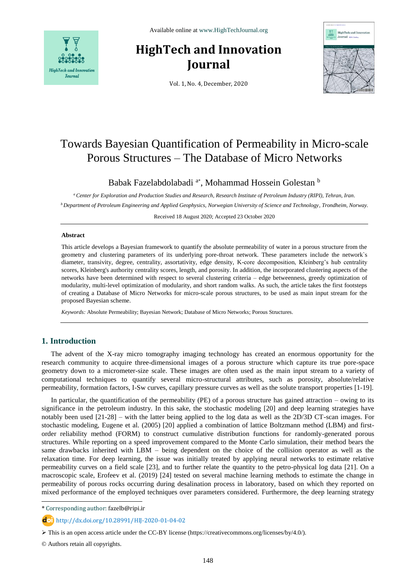

# **HighTech and Innovation Journal**



Vol. 1, No. 4, December, 2020

# Towards Bayesian Quantification of Permeability in Micro-scale Porous Structures – The Database of Micro Networks

Babak Fazelabdolabadi <sup>a\*</sup>, Mohammad Hossein Golestan <sup>b</sup>

*<sup>a</sup>Center for Exploration and Production Studies and Research, Research Institute of Petroleum Industry (RIPI), Tehran, Iran. <sup>b</sup> Department of Petroleum Engineering and Applied Geophysics, Norwegian University of Science and Technology, Trondheim, Norway.*

Received 18 August 2020; Accepted 23 October 2020

#### **Abstract**

This article develops a Bayesian framework to quantify the absolute permeability of water in a porous structure from the geometry and clustering parameters of its underlying pore-throat network. These parameters include the network`s diameter, transivity, degree, centrality, assortativity, edge density, K-core decomposition, Kleinberg's hub centrality scores, Kleinberg's authority centrality scores, length, and porosity. In addition, the incorporated clustering aspects of the networks have been determined with respect to several clustering criteria – edge betweenness, greedy optimization of modularity, multi-level optimization of modularity, and short random walks. As such, the article takes the first footsteps of creating a Database of Micro Networks for micro-scale porous structures, to be used as main input stream for the proposed Bayesian scheme.

*Keywords:* Absolute Permeability; Bayesian Network; Database of Micro Networks; Porous Structures.

# **1. Introduction**

The advent of the X-ray micro tomography imaging technology has created an enormous opportunity for the research community to acquire three-dimensional images of a porous structure which capture its true pore-space geometry down to a micrometer-size scale. These images are often used as the main input stream to a variety of computational techniques to quantify several micro-structural attributes, such as porosity, absolute/relative permeability, formation factors, I-Sw curves, capillary pressure curves as well as the solute transport properties [1-19].

In particular, the quantification of the permeability (PE) of a porous structure has gained attraction – owing to its significance in the petroleum industry. In this sake, the stochastic modeling [20] and deep learning strategies have notably been used [21-28] – with the latter being applied to the log data as well as the 2D/3D CT-scan images. For stochastic modeling, Eugene et al. (2005) [20] applied a combination of lattice Boltzmann method (LBM) and firstorder reliability method (FORM) to construct cumulative distribution functions for randomly-generated porous structures. While reporting on a speed improvement compared to the Monte Carlo simulation, their method bears the same drawbacks inherited with LBM – being dependent on the choice of the collision operator as well as the relaxation time. For deep learning, the issue was initially treated by applying neural networks to estimate relative permeability curves on a field scale [23], and to further relate the quantity to the petro-physical log data [21]. On a macroscopic scale, Erofeev et al. (2019) [24] tested on several machine learning methods to estimate the change in permeability of porous rocks occurring during desalination process in laboratory, based on which they reported on mixed performance of the employed techniques over parameters considered. Furthermore, the deep learning strategy

© Authors retain all copyrights.

l

<sup>\*</sup> Corresponding author: fazelb@ripi.ir

http://dx.doi.org/10.28991/HIJ-2020-01-04-02

This is an open access article under the CC-BY license [\(https://creativecommons.org/licenses/by/4.0/\)](https://creativecommons.org/licenses/by/4.0/).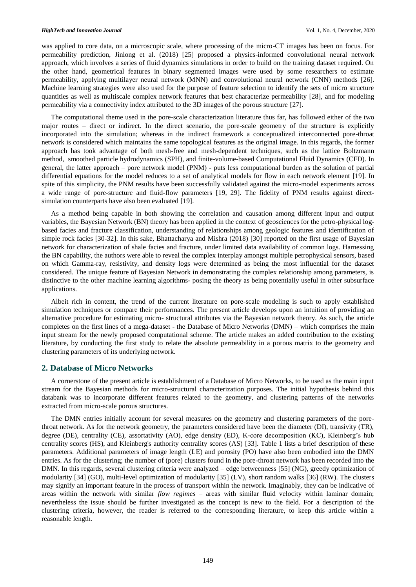was applied to core data, on a microscopic scale, where processing of the micro-CT images has been on focus. For permeability prediction, Jinlong et al. (2018) [25] proposed a physics-informed convolutional neural network approach, which involves a series of fluid dynamics simulations in order to build on the training dataset required. On the other hand, geometrical features in binary segmented images were used by some researchers to estimate permeability, applying multilayer neural network (MNN) and convolutional neural network (CNN) methods [26]. Machine learning strategies were also used for the purpose of feature selection to identify the sets of micro structure quantities as well as multiscale complex network features that best characterize permeability [28], and for modeling permeability via a connectivity index attributed to the 3D images of the porous structure [27].

The computational theme used in the pore-scale characterization literature thus far, has followed either of the two major routes – direct or indirect. In the direct scenario, the pore-scale geometry of the structure is explicitly incorporated into the simulation; whereas in the indirect framework a conceptualized interconnected pore-throat network is considered which maintains the same topological features as the original image. In this regards, the former approach has took advantage of both mesh-free and mesh-dependent techniques, such as the lattice Boltzmann method, smoothed particle hydrodynamics (SPH), and finite-volume-based Computational Fluid Dynamics (CFD). In general, the latter approach – pore network model (PNM) - puts less computational burden as the solution of partial differential equations for the model reduces to a set of analytical models for flow in each network element [19]. In spite of this simplicity, the PNM results have been successfully validated against the micro-model experiments across a wide range of pore-structure and fluid-flow parameters [19, 29]. The fidelity of PNM results against directsimulation counterparts have also been evaluated [19].

As a method being capable in both showing the correlation and causation among different input and output variables, the Bayesian Network (BN) theory has been applied in the context of geosciences for the petro-physical logbased facies and fracture classification, understanding of relationships among geologic features and identification of simple rock facies [30-32]. In this sake, Bhattacharya and Mishra (2018) [30] reported on the first usage of Bayesian network for characterization of shale facies and fracture, under limited data availability of common logs. Harnessing the BN capability, the authors were able to reveal the complex interplay amongst multiple petrophysical sensors, based on which Gamma-ray, resistivity, and density logs were determined as being the most influential for the dataset considered. The unique feature of Bayesian Network in demonstrating the complex relationship among parameters, is distinctive to the other machine learning algorithms- posing the theory as being potentially useful in other subsurface applications.

Albeit rich in content, the trend of the current literature on pore-scale modeling is such to apply established simulation techniques or compare their performances. The present article develops upon an intuition of providing an alternative procedure for estimating micro- structural attributes via the Bayesian network theory. As such, the article completes on the first lines of a mega-dataset - the Database of Micro Networks (DMN) – which comprises the main input stream for the newly proposed computational scheme. The article makes an added contribution to the existing literature, by conducting the first study to relate the absolute permeability in a porous matrix to the geometry and clustering parameters of its underlying network.

### **2. Database of Micro Networks**

A cornerstone of the present article is establishment of a Database of Micro Networks, to be used as the main input stream for the Bayesian methods for micro-structural characterization purposes. The initial hypothesis behind this databank was to incorporate different features related to the geometry, and clustering patterns of the networks extracted from micro-scale porous structures.

The DMN entries initially account for several measures on the geometry and clustering parameters of the porethroat network. As for the network geometry, the parameters considered have been the diameter (DI), transivity (TR), degree (DE), centrality (CE), assortativity (AO), edge density (ED), K-core decomposition (KC), Kleinberg's hub centrality scores (HS), and Kleinberg's authority centrality scores (AS) [33]. Table 1 lists a brief description of these parameters. Additional parameters of image length (LE) and porosity (PO) have also been embodied into the DMN entries. As for the clustering; the number of (pore) clusters found in the pore-throat network has been recorded into the DMN. In this regards, several clustering criteria were analyzed – edge betweenness [55] (NG), greedy optimization of modularity [34] (GO), multi-level optimization of modularity [35] (LV), short random walks [36] (RW). The clusters may signify an important feature in the process of transport within the network. Imaginably, they can be indicative of areas within the network with similar *flow regimes* – areas with similar fluid velocity within laminar domain; nevertheless the issue should be further investigated as the concept is new to the field. For a description of the clustering criteria, however, the reader is referred to the corresponding literature, to keep this article within a reasonable length.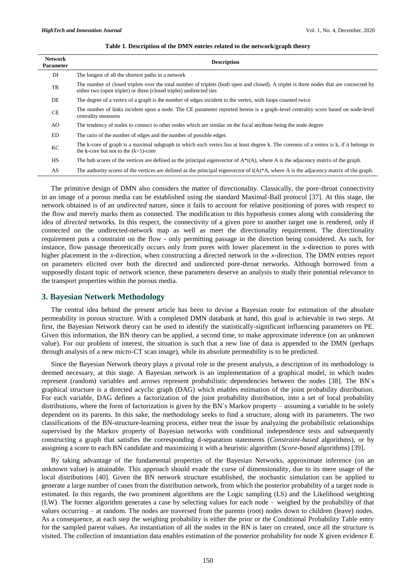| <b>Network</b><br><b>Parameter</b> | <b>Description</b>                                                                                                                                                                                            |  |
|------------------------------------|---------------------------------------------------------------------------------------------------------------------------------------------------------------------------------------------------------------|--|
| DI                                 | The longest of all the shortest paths in a network                                                                                                                                                            |  |
| TR                                 | The number of closed triplets over the total number of triplets (both open and closed). A triplet is three nodes that are connected by<br>either two (open triplet) or three (closed triplet) undirected ties |  |
| DE                                 | The degree of a vertex of a graph is the number of edges incident to the vertex, with loops counted twice                                                                                                     |  |
| CE                                 | The number of links incident upon a node. The CE parameter reported herein is a graph-level centrality score based on node-level<br>centrality measures                                                       |  |
| AO.                                | The tendency of nodes to connect to other nodes which are similar on the focal attribute being the node degree                                                                                                |  |
| ED.                                | The ratio of the number of edges and the number of possible edges                                                                                                                                             |  |
| КC                                 | The k-core of graph is a maximal subgraph in which each vertex has at least degree k. The coreness of a vertex is k, if it belongs to<br>the k-core but not to the $(k+1)$ -core                              |  |
| HS                                 | The hub scores of the vertices are defined as the principal eigenvector of $A^*(A)$ , where A is the adjacency matrix of the graph.                                                                           |  |
| AS                                 | The authority scores of the vertices are defined as the principal eigenvector of $t(A)^*A$ , where A is the adjacency matrix of the graph.                                                                    |  |

#### **Table 1. Description of the DMN entries related to the network/graph theory**

The primitive design of DMN also considers the matter of directionality. Classically, the pore-throat connectivity in an image of a porous media can be established using the standard Maximal-Ball protocol [37]. At this stage, the network obtained is of an *undirected* nature, since it fails to account for relative positioning of pores with respect to the flow and merely marks them as connected. The modification to this hypothesis comes along with considering the idea of *directed* networks. In this respect, the connectivity of a given pore to another target one is rendered, only if connected on the undirected-network map as well as meet the directionality requirement. The directionality requirement puts a constraint on the flow - only permitting passage in the direction being considered. As such, for instance, flow passage theoretically occurs only from pores with lower placement in the *x*-direction to pores with higher placement in the *x*-direction, when constructing a directed network in the *x*-direction. The DMN entries report on parameters elicited over both the directed and undirected pore-throat networks. Although borrowed from a supposedly distant topic of network science, these parameters deserve an analysis to study their potential relevance to the transport properties within the porous media.

## **3. Bayesian Network Methodology**

The central idea behind the present article has been to devise a Bayesian route for estimation of the absolute permeability in porous structure. With a completed DMN databank at hand, this goal is achievable in two steps. At first, the Bayesian Network theory can be used to identify the statistically-significant influencing parameters on PE. Given this information, the BN theory can be applied, a second time, to make approximate inference (on an unknown value). For our problem of interest, the situation is such that a new line of data is appended to the DMN (perhaps through analysis of a new micro-CT scan image), while its absolute permeability is to be predicted.

Since the Bayesian Network theory plays a pivotal role in the present analysis, a description of its methodology is deemed necessary, at this stage. A Bayesian network is an implementation of a graphical model, in which nodes represent (random) variables and arrows represent probabilistic dependencies between the nodes [38]. The BN`s graphical structure is a directed acyclic graph (DAG) which enables estimation of the joint probability distribution. For each variable, DAG defines a factorization of the joint probability distribution, into a set of local probability distributions, where the form of factorization is given by the BN`s Markov property – assuming a variable to be solely dependent on its parents. In this sake, the methodology seeks to find a structure, along with its parameters. The two classifications of the BN-structure-learning process, either treat the issue by analyzing the probabilistic relationships supervised by the Markov property of Bayesian networks with conditional independence tests and subsequently constructing a graph that satisfies the corresponding d-separation statements (*Constraint-based* algorithms), or by assigning a score to each BN candidate and maximizing it with a heuristic algorithm (*Score-based* algorithms) [39].

By taking advantage of the fundamental properties of the Bayesian Networks, approximate inference (on an unknown value) is attainable. This approach should evade the curse of dimensionality, due to its mere usage of the local distributions [40]. Given the BN network structure established, the stochastic simulation can be applied to generate a large number of cases from the distribution network, from which the posterior probability of a target node is estimated. In this regards, the two prominent algorithms are the Logic sampling (LS) and the Likelihood weighting (LW). The former algorithm generates a case by selecting values for each node – weighed by the probability of that values occurring – at random. The nodes are traversed from the parents (root) nodes down to children (leave) nodes. As a consequence, at each step the weighing probability is either the prior or the Conditional Probability Table entry for the sampled parent values. An instantiation of all the nodes in the BN is later on created, once all the structure is visited. The collection of instantiation data enables estimation of the posterior probability for node X given evidence E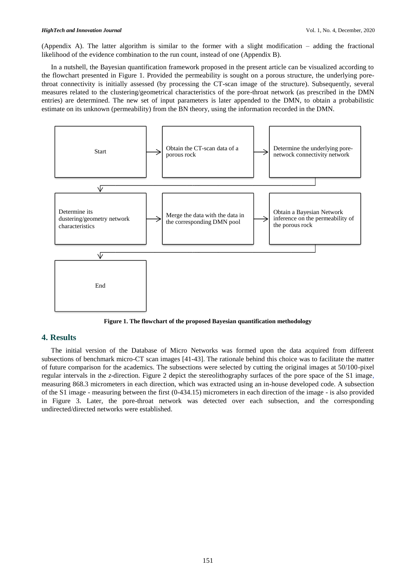(Appendix A). The latter algorithm is similar to the former with a slight modification – adding the fractional likelihood of the evidence combination to the run count, instead of one (Appendix B).

In a nutshell, the Bayesian quantification framework proposed in the present article can be visualized according to the flowchart presented in Figure 1. Provided the permeability is sought on a porous structure, the underlying porethroat connectivity is initially assessed (by processing the CT-scan image of the structure). Subsequently, several measures related to the clustering/geometrical characteristics of the pore-throat network (as prescribed in the DMN entries) are determined. The new set of input parameters is later appended to the DMN, to obtain a probabilistic estimate on its unknown (permeability) from the BN theory, using the information recorded in the DMN.



**Figure 1. The flowchart of the proposed Bayesian quantification methodology**

# **4. Results**

The initial version of the Database of Micro Networks was formed upon the data acquired from different subsections of benchmark micro-CT scan images [41-43]. The rationale behind this choice was to facilitate the matter of future comparison for the academics. The subsections were selected by cutting the original images at 50/100-pixel regular intervals in the *z*-direction. Figure 2 depict the stereolithography surfaces of the pore space of the S1 image, measuring 868.3 micrometers in each direction, which was extracted using an in-house developed code. A subsection of the S1 image - measuring between the first (0-434.15) micrometers in each direction of the image - is also provided in Figure 3. Later, the pore-throat network was detected over each subsection, and the corresponding undirected/directed networks were established.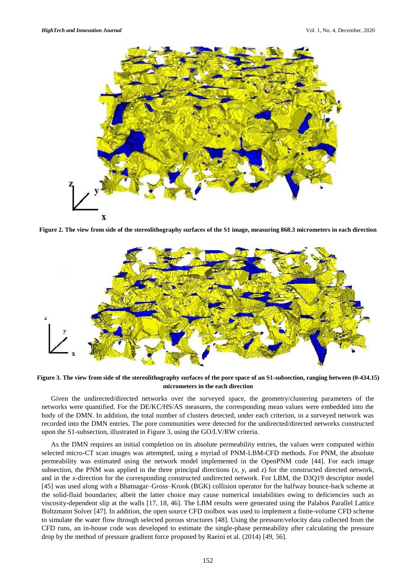

**Figure 2. The view from side of the stereolithography surfaces of the S1 image, measuring 868.3 micrometers in each direction**



**Figure 3. The view from side of the stereolithography surfaces of the pore space of an S1-subsection, ranging between (0-434.15) micrometers in the each direction**

Given the undirected/directed networks over the surveyed space, the geometry/clustering parameters of the networks were quantified. For the DE/KC/HS/AS measures, the corresponding mean values were embedded into the body of the DMN. In addition, the total number of clusters detected, under each criterion, in a surveyed network was recorded into the DMN entries. The pore communities were detected for the undirected/directed networks constructed upon the S1-subsection, illustrated in Figure 3, using the GO/LV/RW criteria.

As the DMN requires an initial completion on its absolute permeability entries, the values were computed within selected micro-CT scan images was attempted, using a myriad of PNM-LBM-CFD methods. For PNM, the absolute permeability was estimated using the network model implemented in the OpenPNM code [44]. For each image subsection, the PNM was applied in the three principal directions (*x*, *y*, and *z*) for the constructed directed network, and in the *x*-direction for the corresponding constructed undirected network. For LBM, the D3Q19 descriptor model [45] was used along with a Bhatnagar–Gross–Krook (BGK) collision operator for the halfway bounce-back scheme at the solid-fluid boundaries; albeit the latter choice may cause numerical instabilities owing to deficiencies such as viscosity-dependent slip at the walls [17, 18, 46]. The LBM results were generated using the Palabos Parallel Lattice Boltzmann Solver [47]. In addition, the open source CFD toolbox was used to implement a finite-volume CFD scheme to simulate the water flow through selected porous structures [48]. Using the pressure/velocity data collected from the CFD runs, an in-house code was developed to estimate the single-phase permeability after calculating the pressure drop by the method of pressure gradient force proposed by Raeini et al. (2014) [49, 56].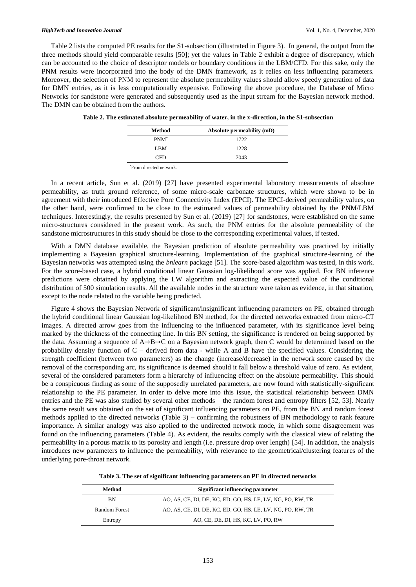Table 2 lists the computed PE results for the S1-subsection (illustrated in Figure 3). In general, the output from the three methods should yield comparable results [50]; yet the values in Table 2 exhibit a degree of discrepancy, which can be accounted to the choice of descriptor models or boundary conditions in the LBM/CFD. For this sake, only the PNM results were incorporated into the body of the DMN framework, as it relies on less influencing parameters. Moreover, the selection of PNM to represent the absolute permeability values should allow speedy generation of data for DMN entries, as it is less computationally expensive. Following the above procedure, the Database of Micro Networks for sandstone were generated and subsequently used as the input stream for the Bayesian network method. The DMN can be obtained from the authors.

| 1722 |
|------|
|      |
| 1228 |
| 7043 |
|      |

\*From directed network.

In a recent article, Sun et al. (2019) [27] have presented experimental laboratory measurements of absolute permeability, as truth ground reference, of some micro-scale carbonate structures, which were shown to be in agreement with their introduced Effective Pore Connectivity Index (EPCI). The EPCI-derived permeability values, on the other hand, were confirmed to be close to the estimated values of permeability obtained by the PNM/LBM techniques. Interestingly, the results presented by Sun et al. (2019) [27] for sandstones, were established on the same micro-structures considered in the present work. As such, the PNM entries for the absolute permeability of the sandstone microstructures in this study should be close to the corresponding experimental values, if tested.

With a DMN database available, the Bayesian prediction of absolute permeability was practiced by initially implementing a Bayesian graphical structure-learning. Implementation of the graphical structure-learning of the Bayesian networks was attempted using the *bnlearn* package [51]. The score-based algorithm was tested, in this work. For the score-based case, a hybrid conditional linear Gaussian log-likelihood score was applied. For BN inference predictions were obtained by applying the LW algorithm and extracting the expected value of the conditional distribution of 500 simulation results. All the available nodes in the structure were taken as evidence, in that situation, except to the node related to the variable being predicted.

Figure 4 shows the Bayesian Network of significant/insignificant influencing parameters on PE, obtained through the hybrid conditional linear Gaussian log-likelihood BN method, for the directed networks extracted from micro-CT images. A directed arrow goes from the influencing to the influenced parameter, with its significance level being marked by the thickness of the connecting line. In this BN setting, the significance is rendered on being supported by the data. Assuming a sequence of A→B→C on a Bayesian network graph, then C would be determined based on the probability density function of  $C$  – derived from data - while A and B have the specified values. Considering the strength coefficient (between two parameters) as the change (increase/decrease) in the network score caused by the removal of the corresponding arc, its significance is deemed should it fall below a threshold value of zero. As evident, several of the considered parameters form a hierarchy of influencing effect on the absolute permeability. This should be a conspicuous finding as some of the supposedly unrelated parameters, are now found with statistically-significant relationship to the PE parameter. In order to delve more into this issue, the statistical relationship between DMN entries and the PE was also studied by several other methods – the random forest and entropy filters [52, 53]. Nearly the same result was obtained on the set of significant influencing parameters on PE, from the BN and random forest methods applied to the directed networks (Table 3) – confirming the robustness of BN methodology to rank feature importance. A similar analogy was also applied to the undirected network mode, in which some disagreement was found on the influencing parameters (Table 4). As evident, the results comply with the classical view of relating the permeability in a porous matrix to its porosity and length (i.e. pressure drop over length) [54]. In addition, the analysis introduces new parameters to influence the permeability, with relevance to the geometrical/clustering features of the underlying pore-throat network.

**Table 3. The set of significant influencing parameters on PE in directed networks**

| Method        | Significant influencing parameter                          |  |  |
|---------------|------------------------------------------------------------|--|--|
| BN            | AO, AS, CE, DI, DE, KC, ED, GO, HS, LE, LV, NG, PO, RW, TR |  |  |
| Random Forest | AO, AS, CE, DI, DE, KC, ED, GO, HS, LE, LV, NG, PO, RW, TR |  |  |
| Entropy       | AO, CE, DE, DI, HS, KC, LV, PO, RW                         |  |  |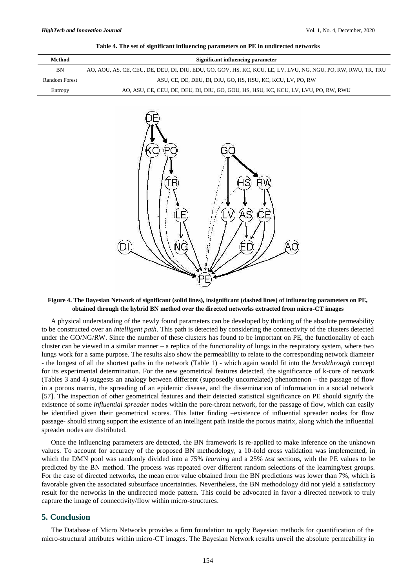| Method        | Significant influencing parameter                                                                             |  |  |
|---------------|---------------------------------------------------------------------------------------------------------------|--|--|
| BN            | AO, AOU, AS, CE, CEU, DE, DEU, DI, DIU, EDU, GO, GOV, HS, KC, KCU, LE, LV, LVU, NG, NGU, PO, RW, RWU, TR, TRU |  |  |
| Random Forest | ASU, CE, DE, DEU, DI, DIU, GO, HS, HSU, KC, KCU, LV, PO, RW                                                   |  |  |
| Entropy       | AO, ASU, CE, CEU, DE, DEU, DI, DIU, GO, GOU, HS, HSU, KC, KCU, LV, LVU, PO, RW, RWU                           |  |  |



#### **Figure 4. The Bayesian Network of significant (solid lines), insignificant (dashed lines) of influencing parameters on PE, obtained through the hybrid BN method over the directed networks extracted from micro-CT images**

A physical understanding of the newly found parameters can be developed by thinking of the absolute permeability to be constructed over an *intelligent path*. This path is detected by considering the connectivity of the clusters detected under the GO/NG/RW. Since the number of these clusters has found to be important on PE, the functionality of each cluster can be viewed in a similar manner – a replica of the functionality of lungs in the respiratory system, where two lungs work for a same purpose. The results also show the permeability to relate to the corresponding network diameter - the longest of all the shortest paths in the network (Table 1) - which again would fit into the *breakthrough* concept for its experimental determination. For the new geometrical features detected, the significance of k-core of network (Tables 3 and 4) suggests an analogy between different (supposedly uncorrelated) phenomenon – the passage of flow in a porous matrix, the spreading of an epidemic disease, and the dissemination of information in a social network [57]. The inspection of other geometrical features and their detected statistical significance on PE should signify the existence of some *influential spreader* nodes within the pore-throat network, for the passage of flow, which can easily be identified given their geometrical scores. This latter finding –existence of influential spreader nodes for flow passage- should strong support the existence of an intelligent path inside the porous matrix, along which the influential spreader nodes are distributed.

Once the influencing parameters are detected, the BN framework is re-applied to make inference on the unknown values. To account for accuracy of the proposed BN methodology, a 10-fold cross validation was implemented, in which the DMN pool was randomly divided into a 75% *learning* and a 25% *test* sections, with the PE values to be predicted by the BN method. The process was repeated over different random selections of the learning/test groups. For the case of directed networks, the mean error value obtained from the BN predictions was lower than 7%, which is favorable given the associated subsurface uncertainties. Nevertheless, the BN methodology did not yield a satisfactory result for the networks in the undirected mode pattern. This could be advocated in favor a directed network to truly capture the image of connectivity/flow within micro-structures.

# **5. Conclusion**

The Database of Micro Networks provides a firm foundation to apply Bayesian methods for quantification of the micro-structural attributes within micro-CT images. The Bayesian Network results unveil the absolute permeability in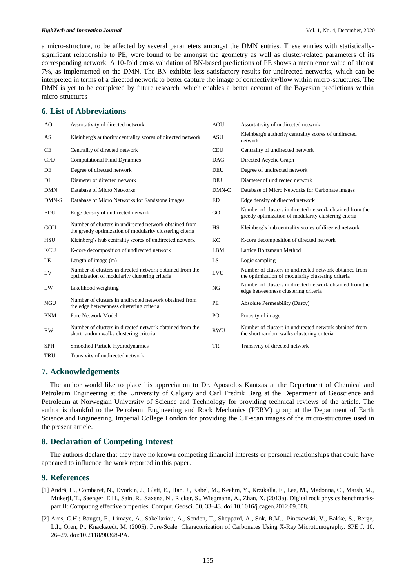a micro-structure, to be affected by several parameters amongst the DMN entries. These entries with statisticallysignificant relationship to PE, were found to be amongst the geometry as well as cluster-related parameters of its corresponding network. A 10-fold cross validation of BN-based predictions of PE shows a mean error value of almost 7%, as implemented on the DMN. The BN exhibits less satisfactory results for undirected networks, which can be interpreted in terms of a directed network to better capture the image of connectivity/flow within micro-structures. The DMN is yet to be completed by future research, which enables a better account of the Bayesian predictions within micro-structures

# **6. List of Abbreviations**

| AO         | Assortativity of directed network                                                                                  | <b>AOU</b> | Assortativity of undirected network                                                                              |
|------------|--------------------------------------------------------------------------------------------------------------------|------------|------------------------------------------------------------------------------------------------------------------|
| AS         | Kleinberg's authority centrality scores of directed network                                                        | <b>ASU</b> | Kleinberg's authority centrality scores of undirected<br>network                                                 |
| <b>CE</b>  | Centrality of directed network                                                                                     | <b>CEU</b> | Centrality of undirected network                                                                                 |
| <b>CFD</b> | <b>Computational Fluid Dynamics</b>                                                                                | <b>DAG</b> | Directed Acyclic Graph                                                                                           |
| <b>DE</b>  | Degree of directed network                                                                                         | DEU        | Degree of undirected network                                                                                     |
| DI         | Diameter of directed network                                                                                       | DIU        | Diameter of undirected network                                                                                   |
| <b>DMN</b> | Database of Micro Networks                                                                                         | DMN-C      | Database of Micro Networks for Carbonate images                                                                  |
| DMN-S      | Database of Micro Networks for Sandstone images                                                                    | <b>ED</b>  | Edge density of directed network                                                                                 |
| <b>EDU</b> | Edge density of undirected network                                                                                 | GO         | Number of clusters in directed network obtained from the<br>greedy optimization of modularity clustering citeria |
| GOU        | Number of clusters in undirected network obtained from<br>the greedy optimization of modularity clustering citeria | <b>HS</b>  | Kleinberg's hub centrality scores of directed network                                                            |
| <b>HSU</b> | Kleinberg's hub centrality scores of undirected network                                                            | KC         | K-core decomposition of directed network                                                                         |
| <b>KCU</b> | K-core decomposition of undirected network                                                                         | <b>LBM</b> | Lattice Boltzmann Method                                                                                         |
| LE         | Length of image $(m)$                                                                                              | LS         | Logic sampling                                                                                                   |
| LV         | Number of clusters in directed network obtained from the<br>optimization of modularity clustering criteria         | <b>LVU</b> | Number of clusters in undirected network obtained from<br>the optimization of modularity clustering criteria     |
| LW         | Likelihood weighting                                                                                               | NG         | Number of clusters in directed network obtained from the<br>edge betweenness clustering criteria                 |
| <b>NGU</b> | Number of clusters in undirected network obtained from<br>the edge betweenness clustering criteria                 | PE         | Absolute Permeability (Darcy)                                                                                    |
| <b>PNM</b> | Pore Network Model                                                                                                 | PO         | Porosity of image                                                                                                |
| <b>RW</b>  | Number of clusters in directed network obtained from the<br>short random walks clustering criteria                 | <b>RWU</b> | Number of clusters in undirected network obtained from<br>the short random walks clustering criteria             |
| <b>SPH</b> | Smoothed Particle Hydrodynamics                                                                                    | <b>TR</b>  | Transivity of directed network                                                                                   |
| TRU        | Transivity of undirected network                                                                                   |            |                                                                                                                  |

## **7. Acknowledgements**

The author would like to place his appreciation to Dr. Apostolos Kantzas at the Department of Chemical and Petroleum Engineering at the University of Calgary and Carl Fredrik Berg at the Department of Geoscience and Petroleum at Norwegian University of Science and Technology for providing technical reviews of the article. The author is thankful to the Petroleum Engineering and Rock Mechanics (PERM) group at the Department of Earth Science and Engineering, Imperial College London for providing the CT-scan images of the micro-structures used in the present article.

## **8. Declaration of Competing Interest**

The authors declare that they have no known competing financial interests or personal relationships that could have appeared to influence the work reported in this paper.

## **9. References**

- [1] Andrä, H., Combaret, N., Dvorkin, J., Glatt, E., Han, J., Kabel, M., Keehm, Y., Krzikalla, F., Lee, M., Madonna, C., Marsh, M., Mukerji, T., Saenger, E.H., Sain, R., Saxena, N., Ricker, S., Wiegmann, A., Zhan, X. (2013a). Digital rock physics benchmarkspart II: Computing effective properties. Comput. Geosci. 50, 33–43. doi:10.1016/j.cageo.2012.09.008.
- [2] Arns, C.H.; Bauget, F., Limaye, A., Sakellariou, A., Senden, T., Sheppard, A., Sok, R.M., Pinczewski, V., Bakke, S., Berge, L.I., Oren, P., Knackstedt, M. (2005). Pore-Scale Characterization of Carbonates Using X-Ray Microtomography. SPE J. 10, 26–29. doi:10.2118/90368-PA.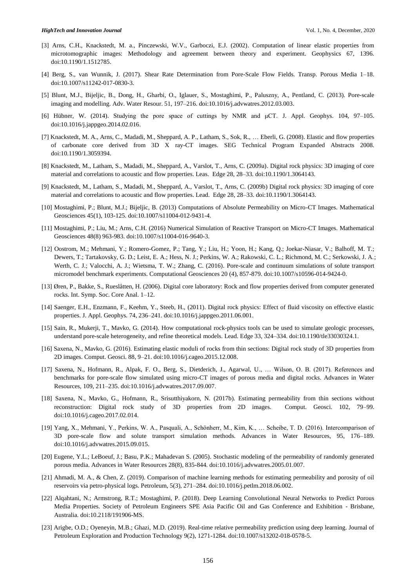- [3] Arns, C.H., Knackstedt, M. a., Pinczewski, W.V., Garboczi, E.J. (2002). Computation of linear elastic properties from microtomographic images: Methodology and agreement between theory and experiment. Geophysics 67, 1396. doi:10.1190/1.1512785.
- [4] Berg, S., van Wunnik, J. (2017). Shear Rate Determination from Pore-Scale Flow Fields. Transp. Porous Media 1–18. doi:10.1007/s11242-017-0830-3.
- [5] Blunt, M.J., Bijeljic, B., Dong, H., Gharbi, O., Iglauer, S., Mostaghimi, P., Paluszny, A., Pentland, C. (2013). Pore-scale imaging and modelling. Adv. Water Resour. 51, 197–216. doi:10.1016/j.advwatres.2012.03.003.
- [6] Hübner, W. (2014). Studying the pore space of cuttings by NMR and μCT. J. Appl. Geophys. 104, 97–105. doi:10.1016/j.jappgeo.2014.02.016.
- [7] Knackstedt, M. A., Arns, C., Madadi, M., Sheppard, A. P., Latham, S., Sok, R., … Eberli, G. (2008). Elastic and flow properties of carbonate core derived from 3D X ray-CT images. SEG Technical Program Expanded Abstracts 2008. doi:10.1190/1.3059394.
- [8] Knackstedt, M., Latham, S., Madadi, M., Sheppard, A., Varslot, T., Arns, C. (2009a). Digital rock physics: 3D imaging of core material and correlations to acoustic and flow properties. Leas. Edge 28, 28–33. doi:10.1190/1.3064143.
- [9] Knackstedt, M., Latham, S., Madadi, M., Sheppard, A., Varslot, T., Arns, C. (2009b) Digital rock physics: 3D imaging of core material and correlations to acoustic and flow properties. Lead. Edge 28, 28–33. doi:10.1190/1.3064143.
- [10] Mostaghimi, P.; Blunt, M.J.; Bijeljic, B. (2013) Computations of Absolute Permeability on Micro-CT Images. Mathematical Geosciences 45(1), 103-125. doi:10.1007/s11004-012-9431-4.
- [11] Mostaghimi, P.; Liu, M.; Arns, C.H. (2016) Numerical Simulation of Reactive Transport on Micro-CT Images. Mathematical Geosciences 48(8) 963-983. doi:10.1007/s11004-016-9640-3.
- [12] Oostrom, M.; Mehmani, Y.; Romero-Gomez, P.; Tang, Y.; Liu, H.; Yoon, H.; Kang, Q.; Joekar-Niasar, V.; Balhoff, M. T.; Dewers, T.; Tartakovsky, G. D.; Leist, E. A.; Hess, N. J.; Perkins, W. A.; Rakowski, C. L.; Richmond, M. C.; Serkowski, J. A.; Werth, C. J.; Valocchi, A. J.; Wietsma, T. W.; Zhang, C. (2016). Pore-scale and continuum simulations of solute transport micromodel benchmark experiments. Computational Geosciences 20 (4), 857-879. doi:10.1007/s10596-014-9424-0.
- [13] Øren, P., Bakke, S., Rueslåtten, H. (2006). Digital core laboratory: Rock and flow properties derived from computer generated rocks. Int. Symp. Soc. Core Anal. 1–12.
- [14] Saenger, E.H., Enzmann, F., Keehm, Y., Steeb, H., (2011). Digital rock physics: Effect of fluid viscosity on effective elastic properties. J. Appl. Geophys. 74, 236–241. doi:10.1016/j.jappgeo.2011.06.001.
- [15] Sain, R., Mukerji, T., Mavko, G. (2014). How computational rock-physics tools can be used to simulate geologic processes, understand pore-scale heterogeneity, and refine theoretical models. Lead. Edge 33, 324–334. doi:10.1190/tle33030324.1.
- [16] Saxena, N., Mavko, G. (2016). Estimating elastic moduli of rocks from thin sections: Digital rock study of 3D properties from 2D images. Comput. Geosci. 88, 9–21. doi:10.1016/j.cageo.2015.12.008.
- [17] Saxena, N., Hofmann, R., Alpak, F. O., Berg, S., Dietderich, J., Agarwal, U., … Wilson, O. B. (2017). References and benchmarks for pore-scale flow simulated using micro-CT images of porous media and digital rocks. Advances in Water Resources, 109, 211–235. doi:10.1016/j.advwatres.2017.09.007.
- [18] Saxena, N., Mavko, G., Hofmann, R., Srisutthiyakorn, N. (2017b). Estimating permeability from thin sections without reconstruction: Digital rock study of 3D properties from 2D images. Comput. Geosci. 102, 79–99. doi:10.1016/j.cageo.2017.02.014.
- [19] Yang, X., Mehmani, Y., Perkins, W. A., Pasquali, A., Schönherr, M., Kim, K., … Scheibe, T. D. (2016). Intercomparison of 3D pore-scale flow and solute transport simulation methods. Advances in Water Resources, 95, 176–189. doi:10.1016/j.advwatres.2015.09.015.
- [20] Eugene, Y.L.; LeBoeuf, J.; Basu, P.K.; Mahadevan S. (2005). Stochastic modeling of the permeability of randomly generated porous media. Advances in Water Resources 28(8), 835-844. doi:10.1016/j.advwatres.2005.01.007.
- [21] Ahmadi, M. A., & Chen, Z. (2019). Comparison of machine learning methods for estimating permeability and porosity of oil reservoirs via petro-physical logs. Petroleum, 5(3), 271–284. doi:10.1016/j.petlm.2018.06.002.
- [22] Alqahtani, N.; Armstrong, R.T.; Mostaghimi, P. (2018). Deep Learning Convolutional Neural Networks to Predict Porous Media Properties. Society of Petroleum Engineers SPE Asia Pacific Oil and Gas Conference and Exhibition - Brisbane, Australia. doi:10.2118/191906-MS.
- [23] Arigbe, O.D.; Oyeneyin, M.B.; Ghazi, M.D. (2019). Real-time relative permeability prediction using deep learning. Journal of Petroleum Exploration and Production Technology 9(2), 1271-1284. doi:10.1007/s13202-018-0578-5.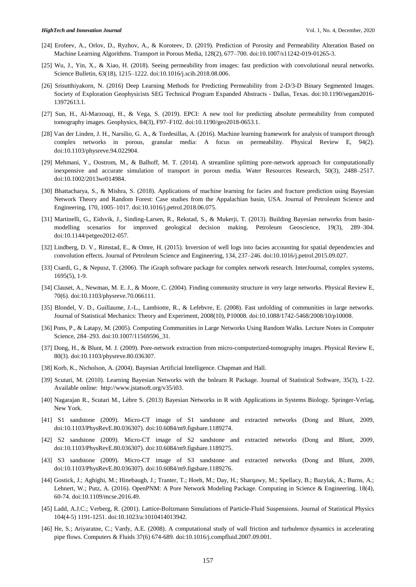- [24] Erofeev, A., Orlov, D., Ryzhov, A., & Koroteev, D. (2019). Prediction of Porosity and Permeability Alteration Based on Machine Learning Algorithms. Transport in Porous Media, 128(2), 677–700. doi:10.1007/s11242-019-01265-3.
- [25] Wu, J., Yin, X., & Xiao, H. (2018). Seeing permeability from images: fast prediction with convolutional neural networks. Science Bulletin, 63(18), 1215–1222. doi:10.1016/j.scib.2018.08.006.
- [26] Srisutthiyakorn, N. (2016) Deep Learning Methods for Predicting Permeability from 2-D/3-D Binary Segmented Images. Society of Exploration Geophysicists SEG Technical Program Expanded Abstracts - Dallas, Texas. doi:10.1190/segam2016- 13972613.1.
- [27] Sun, H., Al-Marzouqi, H., & Vega, S. (2019). EPCI: A new tool for predicting absolute permeability from computed tomography images. Geophysics, 84(3), F97–F102. doi:10.1190/geo2018-0653.1.
- [28] Van der Linden, J. H., Narsilio, G. A., & Tordesillas, A. (2016). Machine learning framework for analysis of transport through complex networks in porous, granular media: A focus on permeability. Physical Review E, 94(2). doi:10.1103/physreve.94.022904.
- [29] Mehmani, Y., Oostrom, M., & Balhoff, M. T. (2014). A streamline splitting pore-network approach for computationally inexpensive and accurate simulation of transport in porous media. Water Resources Research, 50(3), 2488–2517. doi:10.1002/2013wr014984.
- [30] Bhattacharya, S., & Mishra, S. (2018). Applications of machine learning for facies and fracture prediction using Bayesian Network Theory and Random Forest: Case studies from the Appalachian basin, USA. Journal of Petroleum Science and Engineering, 170, 1005–1017. doi:10.1016/j.petrol.2018.06.075.
- [31] Martinelli, G., Eidsvik, J., Sinding-Larsen, R., Rekstad, S., & Mukerji, T. (2013). Building Bayesian networks from basinmodelling scenarios for improved geological decision making. Petroleum Geoscience, 19(3), 289–304. doi:10.1144/petgeo2012-057.
- [32] Lindberg, D. V., Rimstad, E., & Omre, H. (2015). Inversion of well logs into facies accounting for spatial dependencies and convolution effects. Journal of Petroleum Science and Engineering, 134, 237–246. doi:10.1016/j.petrol.2015.09.027.
- [33] Csardi, G., & Nepusz, T. (2006). The iGraph software package for complex network research. InterJournal, complex systems, 1695(5), 1-9.
- [34] Clauset, A., Newman, M. E. J., & Moore, C. (2004). Finding community structure in very large networks. Physical Review E, 70(6). doi:10.1103/physreve.70.066111.
- [35] Blondel, V. D., Guillaume, J.-L., Lambiotte, R., & Lefebvre, E. (2008). Fast unfolding of communities in large networks. Journal of Statistical Mechanics: Theory and Experiment, 2008(10), P10008. doi:10.1088/1742-5468/2008/10/p10008.
- [36] Pons, P., & Latapy, M. (2005). Computing Communities in Large Networks Using Random Walks. Lecture Notes in Computer Science, 284–293. doi:10.1007/11569596\_31.
- [37] Dong, H., & Blunt, M. J. (2009). Pore-network extraction from micro-computerized-tomography images. Physical Review E, 80(3). doi:10.1103/physreve.80.036307.
- [38] Korb, K., Nicholson, A. (2004). Bayesian Artificial Intelligence. Chapman and Hall.
- [39] Scutari, M. (2010). Learning Bayesian Networks with the bnlearn R Package. Journal of Statistical Software, 35(3), 1-22. Available online: http://www.jstatsoft.org/v35/i03.
- [40] Nagarajan R., Scutari M., Lèbre S. (2013) Bayesian Networks in R with Applications in Systems Biology. Springer-Verlag, New York.
- [41] S1 sandstone (2009). Micro-CT image of S1 sandstone and extracted networks (Dong and Blunt, 2009, doi:10.1103/PhysRevE.80.036307). doi:10.6084/m9.figshare.1189274.
- [42] S2 sandstone (2009). Micro-CT image of S2 sandstone and extracted networks (Dong and Blunt, 2009, doi:10.1103/PhysRevE.80.036307). doi:10.6084/m9.figshare.1189275.
- [43] S3 sandstone (2009). Micro-CT image of S3 sandstone and extracted networks (Dong and Blunt, 2009, doi:10.1103/PhysRevE.80.036307). doi:10.6084/m9.figshare.1189276.
- [44] Gostick, J.; Aghighi, M.; Hinebaugh, J.; Tranter, T.; Hoeh, M.; Day, H.; Sharqawy, M.; Spellacy, B.; Bazylak, A.; Burns, A.; Lehnert, W.; Putz, A. (2016). OpenPNM: A Pore Network Modeling Package. Computing in Science & Engineering. 18(4), 60-74. doi:10.1109/mcse.2016.49.
- [45] Ladd, A.J.C.; Verberg, R. (2001). Lattice-Boltzmann Simulations of Particle-Fluid Suspensions. Journal of Statistical Physics 104(4-5) 1191-1251. doi:10.1023/a:1010414013942.
- [46] He, S.; Ariyaratne, C.; Vardy, A.E. (2008). A computational study of wall friction and turbulence dynamics in accelerating pipe flows. Computers & Fluids 37(6) 674-689. doi:10.1016/j.compfluid.2007.09.001.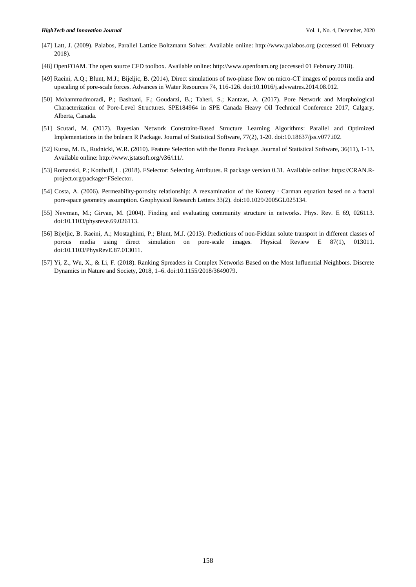- [47] Latt, J. (2009). Palabos, Parallel Lattice Boltzmann Solver. Available online: http://www.palabos.org (accessed 01 February 2018).
- [48] OpenFOAM. The open source CFD toolbox. Available online: http://www.openfoam.org (accessed 01 February 2018).
- [49] Raeini, A.Q.; Blunt, M.J.; Bijeljic, B. (2014), Direct simulations of two-phase flow on micro-CT images of porous media and upscaling of pore-scale forces. Advances in Water Resources 74, 116-126. doi:10.1016/j.advwatres.2014.08.012.
- [50] Mohammadmoradi, P.; Bashtani, F.; Goudarzi, B.; Taheri, S.; Kantzas, A. (2017). Pore Network and Morphological Characterization of Pore-Level Structures. SPE184964 in SPE Canada Heavy Oil Technical Conference 2017, Calgary, Alberta, Canada.
- [51] Scutari, M. (2017). Bayesian Network Constraint-Based Structure Learning Algorithms: Parallel and Optimized Implementations in the bnlearn R Package. Journal of Statistical Software, 77(2), 1-20. doi:10.18637/jss.v077.i02.
- [52] Kursa, M. B., Rudnicki, W.R. (2010). Feature Selection with the Boruta Package. Journal of Statistical Software, 36(11), 1-13. Available online: http://www.jstatsoft.org/v36/i11/.
- [53] Romanski, P.; Kotthoff, L. (2018). FSelector: Selecting Attributes. R package version 0.31. Available online: https://CRAN.Rproject.org/package=FSelector.
- [54] Costa, A. (2006). Permeability-porosity relationship: A reexamination of the Kozeny‐Carman equation based on a fractal pore-space geometry assumption. Geophysical Research Letters 33(2). doi:10.1029/2005GL025134.
- [55] Newman, M.; Girvan, M. (2004). Finding and evaluating community structure in networks. Phys. Rev. E 69, 026113. doi:10.1103/physreve.69.026113.
- [56] Bijeljic, B. Raeini, A.; Mostaghimi, P.; Blunt, M.J. (2013). Predictions of non-Fickian solute transport in different classes of porous media using direct simulation on pore-scale images. Physical Review E 87(1), 013011. doi:10.1103/PhysRevE.87.013011.
- [57] Yi, Z., Wu, X., & Li, F. (2018). Ranking Spreaders in Complex Networks Based on the Most Influential Neighbors. Discrete Dynamics in Nature and Society, 2018, 1–6. doi:10.1155/2018/3649079.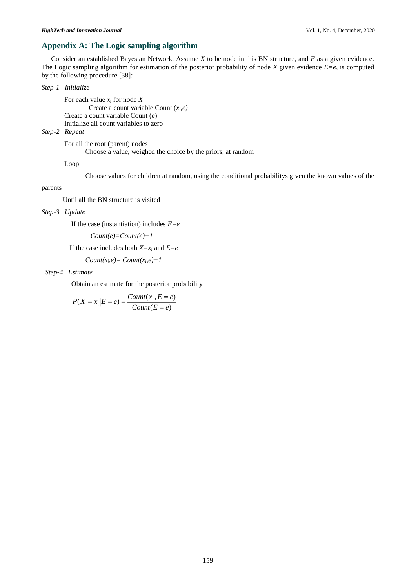# **Appendix A: The Logic sampling algorithm**

Consider an established Bayesian Network. Assume *X* to be node in this BN structure, and *E* as a given evidence. The Logic sampling algorithm for estimation of the posterior probability of node *X* given evidence *E=e*, is computed by the following procedure [38]:

## *Step-1 Initialize*

 For each value *x<sup>i</sup>* for node *X* Create a count variable Count (*xi,e)* Create a count variable Count (*e*) Initialize all count variables to zero

# *Step-2 Repeat*

For all the root (parent) nodes

Choose a value, weighed the choice by the priors, at random

Loop

Choose values for children at random, using the conditional probabilitys given the known values of the

## parents

Until all the BN structure is visited

*Step-3 Update* 

If the case (instantiation) includes *E=e*

```
 Count(e)=Count(e)+1
```
If the case includes both *X=x<sup>i</sup>* and *E=e*

 $Count(x_i, e) = Count(x_i, e) + 1$ 

### *Step-4 Estimate*

Obtain an estimate for the posterior probability

$$
P(X = x_i | E = e) = \frac{Count(x_i, E = e)}{Count(E = e)}
$$